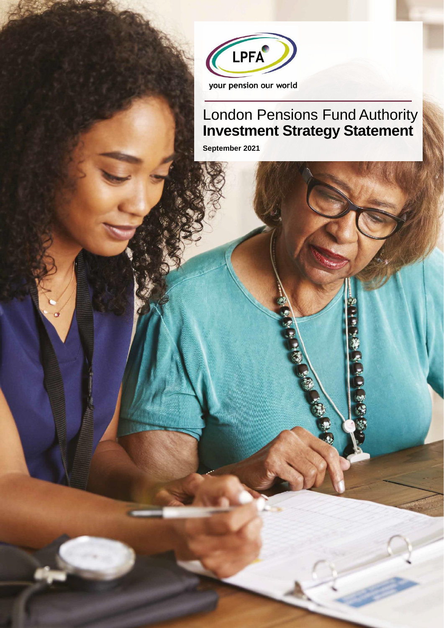

# London Pensions Fund Authority **Investment Strategy Statement**

**AND** 

**RADA** 

BOS

**September 2021**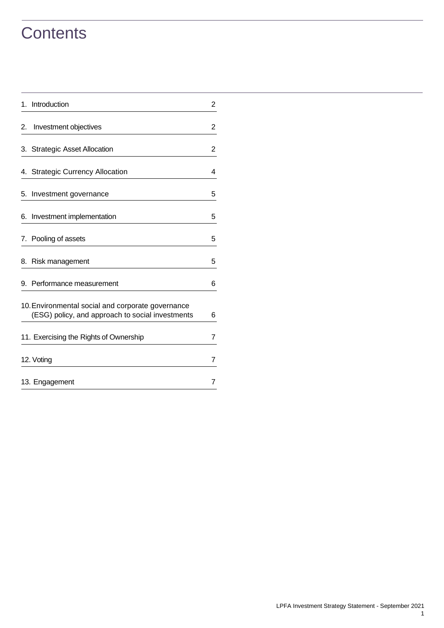# **Contents**

| 1. | Introduction                                                                                          | 2              |
|----|-------------------------------------------------------------------------------------------------------|----------------|
| 2. | Investment objectives                                                                                 | $\overline{c}$ |
| 3. | <b>Strategic Asset Allocation</b>                                                                     | $\overline{c}$ |
|    | 4. Strategic Currency Allocation                                                                      | 4              |
| 5. | Investment governance                                                                                 | 5              |
| 6. | Investment implementation                                                                             | 5              |
|    | 7. Pooling of assets                                                                                  | 5              |
| 8. | Risk management                                                                                       | 5              |
| 9. | Performance measurement                                                                               | 6              |
|    | 10. Environmental social and corporate governance<br>(ESG) policy, and approach to social investments | 6              |
|    | 11. Exercising the Rights of Ownership                                                                | 7              |
|    | 12. Voting                                                                                            | 7              |
|    | 13. Engagement                                                                                        | 7              |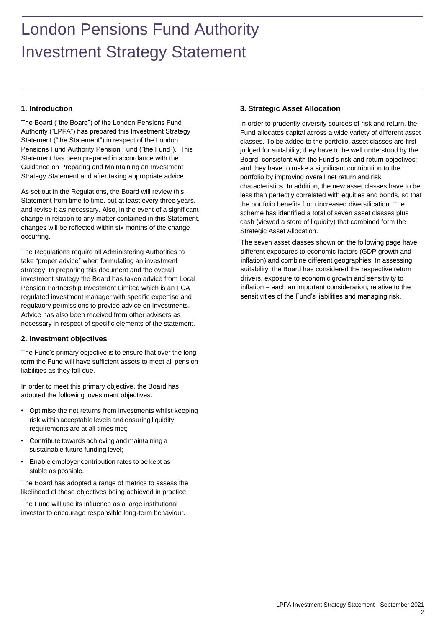# London Pensions Fund Authority Investment Strategy Statement

# <span id="page-2-0"></span>**1. Introduction**

The Board ("the Board") of the London Pensions Fund Authority ("LPFA") has prepared this Investment Strategy Statement ("the Statement") in respect of the London Pensions Fund Authority Pension Fund ("the Fund"). This Statement has been prepared in accordance with the Guidance on Preparing and Maintaining an Investment Strategy Statement and after taking appropriate advice.

As set out in the Regulations, the Board will review this Statement from time to time, but at least every three years, and revise it as necessary. Also, in the event of a significant change in relation to any matter contained in this Statement, changes will be reflected within six months of the change occurring.

The Regulations require all Administering Authorities to take "proper advice" when formulating an investment strategy. In preparing this document and the overall investment strategy the Board has taken advice from Local Pension Partnership Investment Limited which is an FCA regulated investment manager with specific expertise and regulatory permissions to provide advice on investments. Advice has also been received from other advisers as necessary in respect of specific elements of the statement.

## <span id="page-2-1"></span>**2. Investment objectives**

The Fund's primary objective is to ensure that over the long term the Fund will have sufficient assets to meet all pension liabilities as they fall due.

In order to meet this primary objective, the Board has adopted the following investment objectives:

- Optimise the net returns from investments whilst keeping risk within acceptable levels and ensuring liquidity requirements are at all times met;
- Contribute towards achieving and maintaining a sustainable future funding level;
- Enable employer contribution rates to be kept as stable as possible.

The Board has adopted a range of metrics to assess the likelihood of these objectives being achieved in practice.

The Fund will use its influence as a large institutional investor to encourage responsible long-term behaviour.

## <span id="page-2-2"></span>**3. Strategic Asset Allocation**

In order to prudently diversify sources of risk and return, the Fund allocates capital across a wide variety of different asset classes. To be added to the portfolio, asset classes are first judged for suitability; they have to be well understood by the Board, consistent with the Fund's risk and return objectives; and they have to make a significant contribution to the portfolio by improving overall net return and risk characteristics. In addition, the new asset classes have to be less than perfectly correlated with equities and bonds, so that the portfolio benefits from increased diversification. The scheme has identified a total of seven asset classes plus cash (viewed a store of liquidity) that combined form the Strategic Asset Allocation.

The seven asset classes shown on the following page have different exposures to economic factors (GDP growth and inflation) and combine different geographies. In assessing suitability, the Board has considered the respective return drivers, exposure to economic growth and sensitivity to inflation – each an important consideration, relative to the sensitivities of the Fund's liabilities and managing risk.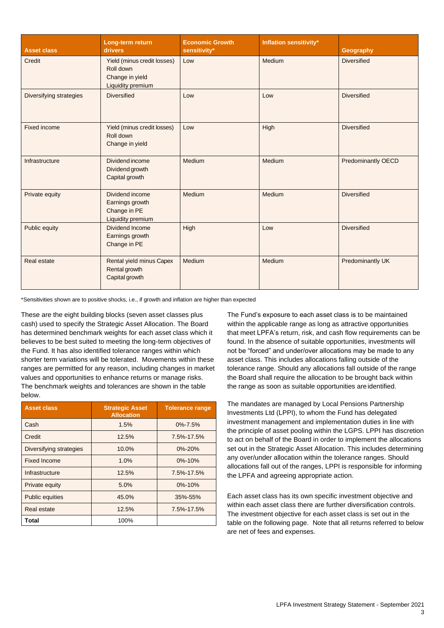| <b>Asset class</b>      | Long-term return<br>drivers                                                             | <b>Economic Growth</b><br>sensitivity* | <b>Inflation sensitivity*</b> | Geography                 |
|-------------------------|-----------------------------------------------------------------------------------------|----------------------------------------|-------------------------------|---------------------------|
| Credit                  | Yield (minus credit losses)<br>Roll down<br>Change in yield<br><b>Liquidity premium</b> | Low                                    | Medium                        | <b>Diversified</b>        |
| Diversifying strategies | <b>Diversified</b>                                                                      | Low                                    | Low                           | <b>Diversified</b>        |
| <b>Fixed income</b>     | Yield (minus credit losses)<br>Roll down<br>Change in yield                             | Low                                    | High                          | <b>Diversified</b>        |
| Infrastructure          | Dividend income<br>Dividend growth<br>Capital growth                                    | Medium                                 | Medium                        | <b>Predominantly OECD</b> |
| Private equity          | Dividend income<br>Earnings growth<br>Change in PE<br>Liquidity premium                 | Medium                                 | Medium                        | <b>Diversified</b>        |
| Public equity           | Dividend Income<br>Earnings growth<br>Change in PE                                      | High                                   | Low                           | <b>Diversified</b>        |
| Real estate             | Rental yield minus Capex<br>Rental growth<br>Capital growth                             | Medium                                 | Medium                        | <b>Predominantly UK</b>   |

\*Sensitivities shown are to positive shocks, i.e., if growth and inflation are higher than expected

These are the eight building blocks (seven asset classes plus cash) used to specify the Strategic Asset Allocation. The Board has determined benchmark weights for each asset class which it believes to be best suited to meeting the long-term objectives of the Fund. It has also identified tolerance ranges within which shorter term variations will be tolerated. Movements within these ranges are permitted for any reason, including changes in market values and opportunities to enhance returns or manage risks. The benchmark weights and tolerances are shown in the table below.

| <b>Asset class</b>      | <b>Strategic Asset</b><br><b>Allocation</b> | <b>Tolerance range</b> |
|-------------------------|---------------------------------------------|------------------------|
| Cash                    | 1.5%                                        | $0\% - 7.5\%$          |
| Credit                  | 12.5%                                       | 7.5%-17.5%             |
| Diversifying strategies | 10.0%                                       | $0\% - 20\%$           |
| <b>Fixed Income</b>     | 1.0%                                        | $0\% - 10\%$           |
| Infrastructure          | 12.5%                                       | 7.5%-17.5%             |
| Private equity          | 5.0%                                        | $0\% - 10\%$           |
| <b>Public equities</b>  | 45.0%                                       | 35%-55%                |
| Real estate             | 12.5%                                       | 7.5%-17.5%             |
| Total                   | 100%                                        |                        |

The Fund's exposure to each asset class is to be maintained within the applicable range as long as attractive opportunities that meet LPFA's return, risk, and cash flow requirements can be found. In the absence of suitable opportunities, investments will not be "forced" and under/over allocations may be made to any asset class. This includes allocations falling outside of the tolerance range. Should any allocations fall outside of the range the Board shall require the allocation to be brought back within the range as soon as suitable opportunities areidentified.

The mandates are managed by Local Pensions Partnership Investments Ltd (LPPI), to whom the Fund has delegated investment management and implementation duties in line with the principle of asset pooling within the LGPS. LPPI has discretion to act on behalf of the Board in order to implement the allocations set out in the Strategic Asset Allocation. This includes determining any over/under allocation within the tolerance ranges. Should allocations fall out of the ranges, LPPI is responsible for informing the LPFA and agreeing appropriate action.

Each asset class has its own specific investment objective and within each asset class there are further diversification controls. The investment objective for each asset class is set out in the table on the following page. Note that all returns referred to below are net of fees and expenses.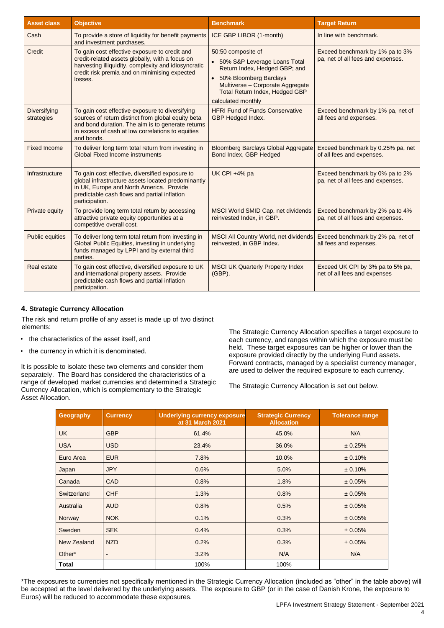| <b>Asset class</b>                | <b>Objective</b>                                                                                                                                                                                                              | <b>Benchmark</b>                                                                                                                                                                                              | <b>Target Return</b>                                                 |
|-----------------------------------|-------------------------------------------------------------------------------------------------------------------------------------------------------------------------------------------------------------------------------|---------------------------------------------------------------------------------------------------------------------------------------------------------------------------------------------------------------|----------------------------------------------------------------------|
| Cash                              | To provide a store of liquidity for benefit payments<br>and investment purchases.                                                                                                                                             | ICE GBP LIBOR (1-month)                                                                                                                                                                                       | In line with benchmark.                                              |
| Credit                            | To gain cost effective exposure to credit and<br>credit-related assets globally, with a focus on<br>harvesting illiquidity, complexity and idiosyncratic<br>credit risk premia and on minimising expected<br>losses.          | 50:50 composite of<br>• 50% S&P Leverage Loans Total<br>Return Index, Hedged GBP; and<br>• 50% Bloomberg Barclays<br>Multiverse - Corporate Aggregate<br>Total Return Index, Hedged GBP<br>calculated monthly | Exceed benchmark by 1% pa to 3%<br>pa, net of all fees and expenses. |
| <b>Diversifying</b><br>strategies | To gain cost effective exposure to diversifying<br>sources of return distinct from global equity beta<br>and bond duration. The aim is to generate returns<br>in excess of cash at low correlations to equities<br>and bonds. | <b>HFRI Fund of Funds Conservative</b><br>GBP Hedged Index.                                                                                                                                                   | Exceed benchmark by 1% pa, net of<br>all fees and expenses.          |
| <b>Fixed Income</b>               | To deliver long term total return from investing in<br>Global Fixed Income instruments                                                                                                                                        | <b>Bloomberg Barclays Global Aggregate</b><br>Bond Index, GBP Hedged                                                                                                                                          | Exceed benchmark by 0.25% pa, net<br>of all fees and expenses.       |
| Infrastructure                    | To gain cost effective, diversified exposure to<br>global infrastructure assets located predominantly<br>in UK, Europe and North America. Provide<br>predictable cash flows and partial inflation<br>participation.           | UK CPI +4% pa                                                                                                                                                                                                 | Exceed benchmark by 0% pa to 2%<br>pa, net of all fees and expenses. |
| Private equity                    | To provide long term total return by accessing<br>attractive private equity opportunities at a<br>competitive overall cost.                                                                                                   | MSCI World SMID Cap, net dividends<br>reinvested Index, in GBP.                                                                                                                                               | Exceed benchmark by 2% pa to 4%<br>pa, net of all fees and expenses. |
| <b>Public equities</b>            | To deliver long term total return from investing in<br>Global Public Equities, investing in underlying<br>funds managed by LPPI and by external third<br>parties.                                                             | MSCI All Country World, net dividends<br>reinvested, in GBP Index.                                                                                                                                            | Exceed benchmark by 2% pa, net of<br>all fees and expenses.          |
| <b>Real estate</b>                | To gain cost effective, diversified exposure to UK<br>and international property assets. Provide<br>predictable cash flows and partial inflation<br>participation.                                                            | <b>MSCI UK Quarterly Property Index</b><br>$(GBP)$ .                                                                                                                                                          | Exceed UK CPI by 3% pa to 5% pa,<br>net of all fees and expenses     |

#### **4. Strategic Currency Allocation**

The risk and return profile of any asset is made up of two distinct elements:

- the characteristics of the asset itself, and
- the currency in which it is denominated.

It is possible to isolate these two elements and consider them separately. The Board has considered the characteristics of a range of developed market currencies and determined a Strategic Currency Allocation, which is complementary to the Strategic Asset Allocation.

The Strategic Currency Allocation specifies a target exposure to each currency, and ranges within which the exposure must be held. These target exposures can be higher or lower than the exposure provided directly by the underlying Fund assets. Forward contracts, managed by a specialist currency manager, are used to deliver the required exposure to each currency.

The Strategic Currency Allocation is set out below.

| Geography    | <b>Currency</b> | <b>Underlying currency exposure</b><br>at 31 March 2021 | <b>Strategic Currency</b><br><b>Allocation</b> | <b>Tolerance range</b> |
|--------------|-----------------|---------------------------------------------------------|------------------------------------------------|------------------------|
| <b>UK</b>    | <b>GBP</b>      | 61.4%                                                   | 45.0%                                          | N/A                    |
| <b>USA</b>   | <b>USD</b>      | 23.4%                                                   | 36.0%                                          | ± 0.25%                |
| Euro Area    | <b>EUR</b>      | 7.8%                                                    | 10.0%                                          | ± 0.10%                |
| Japan        | <b>JPY</b>      | 0.6%                                                    | 5.0%                                           | ± 0.10%                |
| Canada       | <b>CAD</b>      | 0.8%                                                    | 1.8%                                           | ± 0.05%                |
| Switzerland  | <b>CHF</b>      | 1.3%                                                    | 0.8%                                           | ± 0.05%                |
| Australia    | <b>AUD</b>      | 0.8%                                                    | 0.5%                                           | ± 0.05%                |
| Norway       | <b>NOK</b>      | 0.1%                                                    | 0.3%                                           | ± 0.05%                |
| Sweden       | <b>SEK</b>      | 0.4%                                                    | 0.3%                                           | ± 0.05%                |
| New Zealand  | <b>NZD</b>      | 0.2%                                                    | 0.3%                                           | ± 0.05%                |
| Other*       | $\sim$          | 3.2%                                                    | N/A                                            | N/A                    |
| <b>Total</b> |                 | 100%                                                    | 100%                                           |                        |

\*The exposures to currencies not specifically mentioned in the Strategic Currency Allocation (included as "other" in the table above) will be accepted at the level delivered by the underlying assets. The exposure to GBP (or in the case of Danish Krone, the exposure to Euros) will be reduced to accommodate these exposures.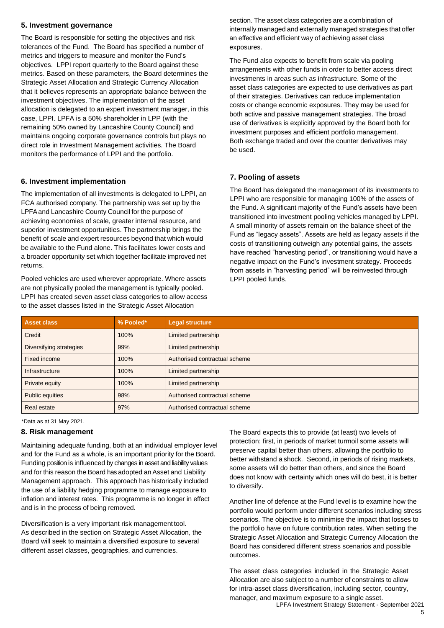#### <span id="page-5-0"></span>**5. Investment governance**

The Board is responsible for setting the objectives and risk tolerances of the Fund. The Board has specified a number of metrics and triggers to measure and monitor the Fund's objectives. LPPI report quarterly to the Board against these metrics. Based on these parameters, the Board determines the Strategic Asset Allocation and Strategic Currency Allocation that it believes represents an appropriate balance between the investment objectives. The implementation of the asset allocation is delegated to an expert investment manager, in this case, LPPI. LPFA is a 50% shareholder in LPP (with the remaining 50% owned by Lancashire County Council) and maintains ongoing corporate governance controls but plays no direct role in Investment Management activities. The Board monitors the performance of LPPI and the portfolio.

## **6. Investment implementation**

The implementation of all investments is delegated to LPPI, an FCA authorised company. The partnership was set up by the LPFAand Lancashire County Council for the purpose of achieving economies of scale, greater internal resource, and superior investment opportunities. The partnership brings the benefit of scale and expert resources beyond that which would be available to the Fund alone. This facilitates lower costs and a broader opportunity set which together facilitate improved net returns.

Pooled vehicles are used wherever appropriate. Where assets are not physically pooled the management is typically pooled. LPPI has created seven asset class categories to allow access to the asset classes listed in the Strategic Asset Allocation

section. The asset class categories are a combination of internally managed and externally managed strategies that offer an effective and efficient way of achieving asset class exposures.

The Fund also expects to benefit from scale via pooling arrangements with other funds in order to better access direct investments in areas such as infrastructure. Some of the asset class categories are expected to use derivatives as part of their strategies. Derivatives can reduce implementation costs or change economic exposures. They may be used for both active and passive management strategies. The broad use of derivatives is explicitly approved by the Board both for investment purposes and efficient portfolio management. Both exchange traded and over the counter derivatives may be used.

#### <span id="page-5-1"></span>**7. Pooling of assets**

The Board has delegated the management of its investments to LPPI who are responsible for managing 100% of the assets of the Fund. A significant majority of the Fund's assets have been transitioned into investment pooling vehicles managed by LPPI. A small minority of assets remain on the balance sheet of the Fund as "legacy assets". Assets are held as legacy assets if the costs of transitioning outweigh any potential gains, the assets have reached "harvesting period", or transitioning would have a negative impact on the Fund's investment strategy. Proceeds from assets in "harvesting period" will be reinvested through LPPI pooled funds.

| <b>Asset class</b>      | % Pooled* | <b>Legal structure</b>        |
|-------------------------|-----------|-------------------------------|
| Credit                  | 100%      | Limited partnership           |
| Diversifying strategies | 99%       | Limited partnership           |
| Fixed income            | 100%      | Authorised contractual scheme |
| Infrastructure          | 100%      | Limited partnership           |
| Private equity          | 100%      | Limited partnership           |
| <b>Public equities</b>  | 98%       | Authorised contractual scheme |
| Real estate             | 97%       | Authorised contractual scheme |

\*Data as at 31 May 2021.

#### <span id="page-5-2"></span>**8. Risk management**

Maintaining adequate funding, both at an individual employer level and for the Fund as a whole, is an important priority for the Board. Funding position is influenced by changes in asset and liability values and for this reason the Board has adopted an Asset and Liability Management approach. This approach has historically included the use of a liability hedging programme to manage exposure to inflation and interest rates. This programme is no longer in effect and is in the process of being removed.

Diversification is a very important risk management tool. As described in the section on Strategic Asset Allocation, the Board will seek to maintain a diversified exposure to several different asset classes, geographies, and currencies.

The Board expects this to provide (at least) two levels of protection: first, in periods of market turmoil some assets will preserve capital better than others, allowing the portfolio to better withstand a shock. Second, in periods of rising markets, some assets will do better than others, and since the Board does not know with certainty which ones will do best, it is better to diversify.

Another line of defence at the Fund level is to examine how the portfolio would perform under different scenarios including stress scenarios. The objective is to minimise the impact that losses to the portfolio have on future contribution rates. When setting the Strategic Asset Allocation and Strategic Currency Allocation the Board has considered different stress scenarios and possible outcomes.

The asset class categories included in the Strategic Asset Allocation are also subject to a number of constraints to allow for intra-asset class diversification, including sector, country, manager, and maximum exposure to a single asset.

LPFA Investment Strategy Statement - September 2021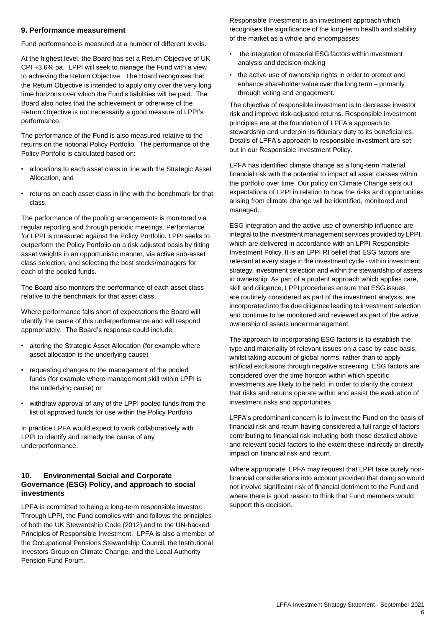#### <span id="page-6-0"></span>**9. Performance measurement**

Fund performance is measured at a number of different levels.

At the highest level, the Board has set a Return Objective of UK CPI +3.6% pa. LPPI will seek to manage the Fund with a view to achieving the Return Objective. The Board recognises that the Return Objective is intended to apply only over the very long time horizons over which the Fund's liabilities will be paid. The Board also notes that the achievement or otherwise of the Return Objective is not necessarily a good measure of LPPI's performance.

The performance of the Fund is also measured relative to the returns on the notional Policy Portfolio. The performance of the Policy Portfolio is calculated based on:

- allocations to each asset class in line with the Strategic Asset Allocation, and
- returns on each asset class in line with the benchmark for that class.

The performance of the pooling arrangements is monitored via regular reporting and through periodic meetings. Performance for LPPI is measured against the Policy Portfolio. LPPI seeks to outperform the Policy Portfolio on a risk adjusted basis by tilting asset weights in an opportunistic manner, via active sub-asset class selection, and selecting the best stocks/managers for each of the pooled funds.

The Board also monitors the performance of each asset class relative to the benchmark for that asset class.

Where performance falls short of expectations the Board will identify the cause of this underperformance and will respond appropriately. The Board's response could include:

- altering the Strategic Asset Allocation (for example where asset allocation is the underlying cause)
- requesting changes to the management of the pooled funds (for example where management skill within LPPI is the underlying cause) or
- withdraw approval of any of the LPPI pooled funds from the list of approved funds for use within the Policy Portfolio.

In practice LPFA would expect to work collaboratively with LPPI to identify and remedy the cause of any underperformance.

#### **10. Environmental Social and Corporate Governance (ESG) Policy, and approach to social investments**

LPFA is committed to being a long-term responsible investor. Through LPPI, the Fund complies with and follows the principles of both the UK Stewardship Code (2012) and to the UN-backed Principles of Responsible Investment. LPFA is also a member of the Occupational Pensions Stewardship Council, the Institutional Investors Group on Climate Change, and the Local Authority Pension Fund Forum.

Responsible Investment is an investment approach which recognises the significance of the long-term health and stability of the market as a whole and encompasses:

- the integration of material ESG factors within investment analysis and decision-making
- the active use of ownership rights in order to protect and enhance shareholder value over the long term – primarily through voting and engagement.

The objective of responsible investment is to decrease investor risk and improve risk-adjusted returns. Responsible investment principles are at the foundation of LPFA's approach to stewardship and underpin its fiduciary duty to its beneficiaries. Details of LPFA's approach to responsible investment are set out in our Responsible Investment Policy.

LPFA has identified climate change as a long-term material financial risk with the potential to impact all asset classes within the portfolio over time. Our policy on Climate Change sets out expectations of LPPI in relation to how the risks and opportunities arising from climate change will be identified, monitored and managed.

ESG integration and the active use of ownership influence are integral to the investment management services provided by LPPI, which are delivered in accordance with an LPPI Responsible Investment Policy. It is an LPPI RI belief that ESG factors are relevant at every stage in the investment cycle - within investment strategy, investment selection and within the stewardship of assets in ownership. As part of a prudent approach which applies care, skill and diligence, LPPI procedures ensure that ESG issues are routinely considered as part of the investment analysis, are incorporated into the due diligence leading to investment selection and continue to be monitored and reviewed as part of the active ownership of assets under management.

The approach to incorporating ESG factors is to establish the type and materiality of relevant issues on a case by case basis, whilst taking account of global norms, rather than to apply artificial exclusions through negative screening. ESG factors are considered over the time horizon within which specific investments are likely to be held, in order to clarify the context that risks and returns operate within and assist the evaluation of investment risks and opportunities.

LPFA's predominant concern is to invest the Fund on the basis of financial risk and return having considered a full range of factors contributing to financial risk including both those detailed above and relevant social factors to the extent these indirectly or directly impact on financial risk and return.

Where appropriate, LPFA may request that LPPI take purely nonfinancial considerations into account provided that doing so would not involve significant risk of financial detriment to the Fund and where there is good reason to think that Fund members would support this decision.